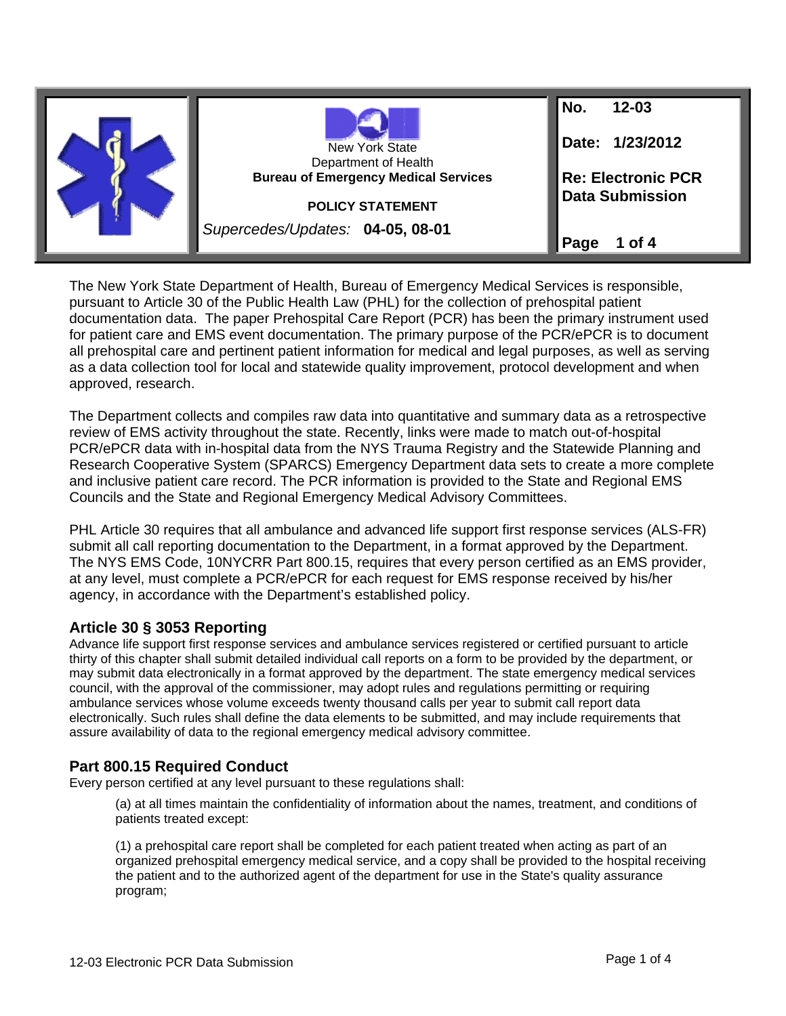|  |                                                                     | No.<br>$12 - 03$          |
|--|---------------------------------------------------------------------|---------------------------|
|  | <b>New York State</b>                                               | Date: 1/23/2012           |
|  | Department of Health<br><b>Bureau of Emergency Medical Services</b> | <b>Re: Electronic PCR</b> |
|  | <b>POLICY STATEMENT</b>                                             | <b>Data Submission</b>    |
|  | Supercedes/Updates: 04-05, 08-01                                    | Page<br>1 of 4            |

The New York State Department of Health, Bureau of Emergency Medical Services is responsible, pursuant to Article 30 of the Public Health Law (PHL) for the collection of prehospital patient documentation data. The paper Prehospital Care Report (PCR) has been the primary instrument used for patient care and EMS event documentation. The primary purpose of the PCR/ePCR is to document all prehospital care and pertinent patient information for medical and legal purposes, as well as serving as a data collection tool for local and statewide quality improvement, protocol development and when approved, research.

The Department collects and compiles raw data into quantitative and summary data as a retrospective review of EMS activity throughout the state. Recently, links were made to match out-of-hospital PCR/ePCR data with in-hospital data from the NYS Trauma Registry and the Statewide Planning and Research Cooperative System (SPARCS) Emergency Department data sets to create a more complete and inclusive patient care record. The PCR information is provided to the State and Regional EMS Councils and the State and Regional Emergency Medical Advisory Committees.

PHL Article 30 requires that all ambulance and advanced life support first response services (ALS-FR) submit all call reporting documentation to the Department, in a format approved by the Department. The NYS EMS Code, 10NYCRR Part 800.15, requires that every person certified as an EMS provider, at any level, must complete a PCR/ePCR for each request for EMS response received by his/her agency, in accordance with the Department's established policy.

# **Article 30 § 3053 Reporting**

Advance life support first response services and ambulance services registered or certified pursuant to article thirty of this chapter shall submit detailed individual call reports on a form to be provided by the department, or may submit data electronically in a format approved by the department. The state emergency medical services council, with the approval of the commissioner, may adopt rules and regulations permitting or requiring ambulance services whose volume exceeds twenty thousand calls per year to submit call report data electronically. Such rules shall define the data elements to be submitted, and may include requirements that assure availability of data to the regional emergency medical advisory committee.

**Part 800.15 Required Conduct**<br>Every person certified at any level pursuant to these regulations shall:

(a) at all times maintain the confidentiality of information about the names, treatment, and conditions of patients treated except:

(1) a prehospital care report shall be completed for each patient treated when acting as part of an organized prehospital emergency medical service, and a copy shall be provided to the hospital receiving the patient and to the authorized agent of the department for use in the State's quality assurance program;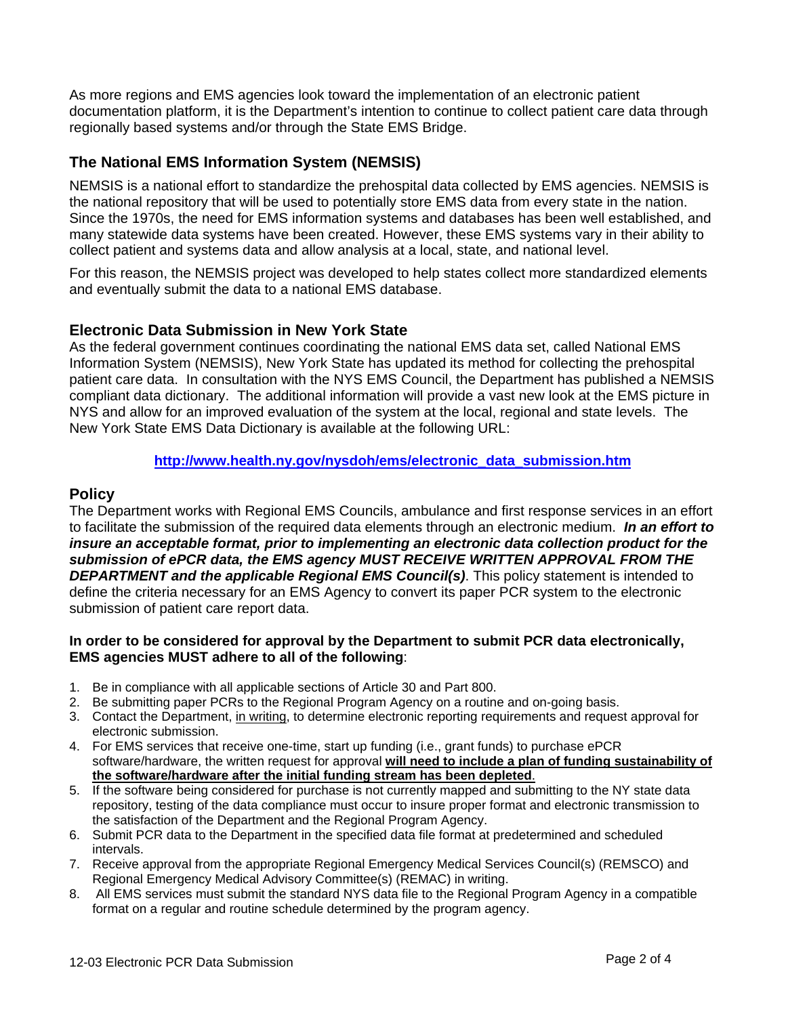As more regions and EMS agencies look toward the implementation of an electronic patient documentation platform, it is the Department's intention to continue to collect patient care data through regionally based systems and/or through the State EMS Bridge.

# **The National EMS Information System (NEMSIS)**

NEMSIS is a national effort to standardize the prehospital data collected by EMS agencies. NEMSIS is the national repository that will be used to potentially store EMS data from every state in the nation. Since the 1970s, the need for EMS information systems and databases has been well established, and many statewide data systems have been created. However, these EMS systems vary in their ability to collect patient and systems data and allow analysis at a local, state, and national level.

For this reason, the NEMSIS project was developed to help states collect more standardized elements and eventually submit the data to a national EMS database.

# **Electronic Data Submission in New York State**

As the federal government continues coordinating the national EMS data set, called National EMS Information System (NEMSIS), New York State has updated its method for collecting the prehospital patient care data. In consultation with the NYS EMS Council, the Department has published a NEMSIS compliant data dictionary. The additional information will provide a vast new look at the EMS picture in NYS and allow for an improved evaluation of the system at the local, regional and state levels. The New York State EMS Data Dictionary is available at the following URL:

### **[http://www.health.ny.gov/nysdoh/ems/electronic\\_data\\_submission.htm](http://www.health.ny.gov/nysdoh/ems/electronic_data_submission.htm)**

## **Policy**

The Department works with Regional EMS Councils, ambulance and first response services in an effort to facilitate the submission of the required data elements through an electronic medium. *In an effort to insure an acceptable format, prior to implementing an electronic data collection product for the submission of ePCR data, the EMS agency MUST RECEIVE WRITTEN APPROVAL FROM THE DEPARTMENT and the applicable Regional EMS Council(s)*. This policy statement is intended to define the criteria necessary for an EMS Agency to convert its paper PCR system to the electronic submission of patient care report data.

#### **In order to be considered for approval by the Department to submit PCR data electronically, EMS agencies MUST adhere to all of the following**:

- 1. Be in compliance with all applicable sections of Article 30 and Part 800.
- 2. Be submitting paper PCRs to the Regional Program Agency on a routine and on-going basis.
- 3. Contact the Department, in writing, to determine electronic reporting requirements and request approval for electronic submission.
- 4. For EMS services that receive one-time, start up funding (i.e., grant funds) to purchase ePCR software/hardware, the written request for approval **will need to include a plan of funding sustainability of the software/hardware after the initial funding stream has been depleted**.
- 5. If the software being considered for purchase is not currently mapped and submitting to the NY state data repository, testing of the data compliance must occur to insure proper format and electronic transmission to the satisfaction of the Department and the Regional Program Agency.
- 6. Submit PCR data to the Department in the specified data file format at predetermined and scheduled intervals.
- 7. Receive approval from the appropriate Regional Emergency Medical Services Council(s) (REMSCO) and Regional Emergency Medical Advisory Committee(s) (REMAC) in writing.
- 8. All EMS services must submit the standard NYS data file to the Regional Program Agency in a compatible format on a regular and routine schedule determined by the program agency.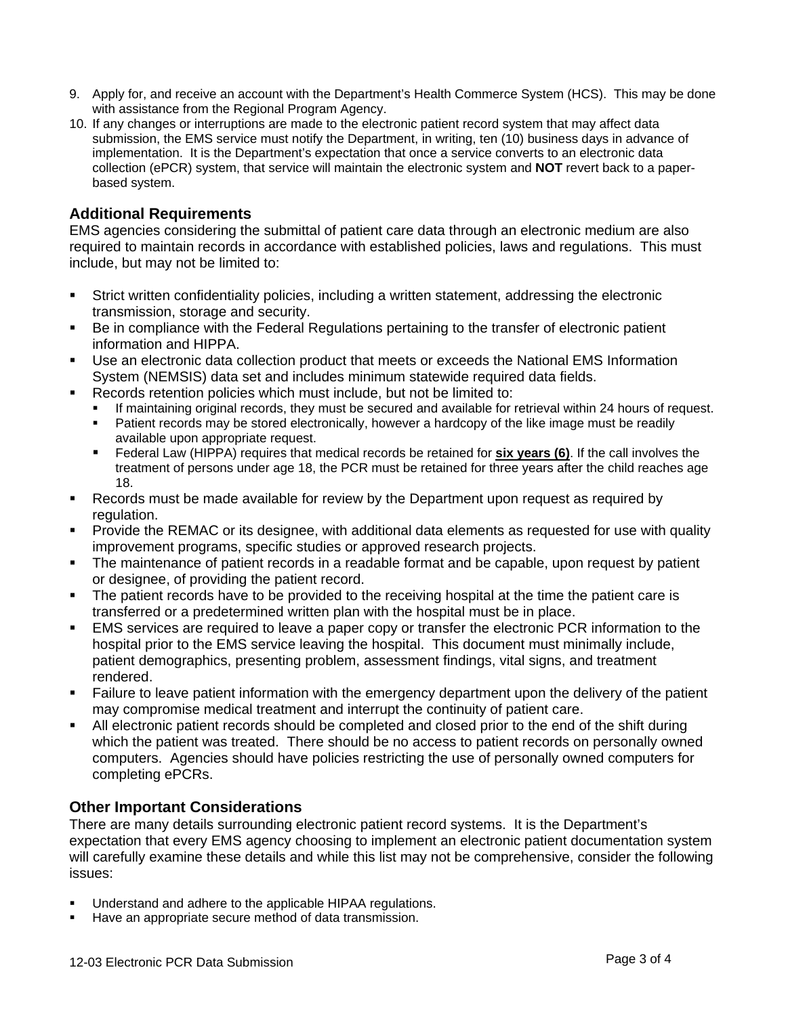- 9. Apply for, and receive an account with the Department's Health Commerce System (HCS). This may be done with assistance from the Regional Program Agency.
- 10. If any changes or interruptions are made to the electronic patient record system that may affect data submission, the EMS service must notify the Department, in writing, ten (10) business days in advance of implementation. It is the Department's expectation that once a service converts to an electronic data collection (ePCR) system, that service will maintain the electronic system and **NOT** revert back to a paperbased system.

## **Additional Requirements**

EMS agencies considering the submittal of patient care data through an electronic medium are also required to maintain records in accordance with established policies, laws and regulations. This must include, but may not be limited to:

- Strict written confidentiality policies, including a written statement, addressing the electronic transmission, storage and security.
- Be in compliance with the Federal Regulations pertaining to the transfer of electronic patient information and HIPPA.
- Use an electronic data collection product that meets or exceeds the National EMS Information System (NEMSIS) data set and includes minimum statewide required data fields.
- Records retention policies which must include, but not be limited to:
	- If maintaining original records, they must be secured and available for retrieval within 24 hours of request.
	- Patient records may be stored electronically, however a hardcopy of the like image must be readily available upon appropriate request.
	- Federal Law (HIPPA) requires that medical records be retained for **six years (6)**. If the call involves the treatment of persons under age 18, the PCR must be retained for three years after the child reaches age 18.
- Records must be made available for review by the Department upon request as required by regulation.
- Provide the REMAC or its designee, with additional data elements as requested for use with quality improvement programs, specific studies or approved research projects.
- The maintenance of patient records in a readable format and be capable, upon request by patient or designee, of providing the patient record.
- The patient records have to be provided to the receiving hospital at the time the patient care is transferred or a predetermined written plan with the hospital must be in place.
- EMS services are required to leave a paper copy or transfer the electronic PCR information to the hospital prior to the EMS service leaving the hospital. This document must minimally include, patient demographics, presenting problem, assessment findings, vital signs, and treatment rendered.
- Failure to leave patient information with the emergency department upon the delivery of the patient may compromise medical treatment and interrupt the continuity of patient care.
- All electronic patient records should be completed and closed prior to the end of the shift during which the patient was treated. There should be no access to patient records on personally owned computers. Agencies should have policies restricting the use of personally owned computers for completing ePCRs.

### **Other Important Considerations**

There are many details surrounding electronic patient record systems. It is the Department's expectation that every EMS agency choosing to implement an electronic patient documentation system will carefully examine these details and while this list may not be comprehensive, consider the following issues:

- Understand and adhere to the applicable HIPAA regulations.
- Have an appropriate secure method of data transmission.